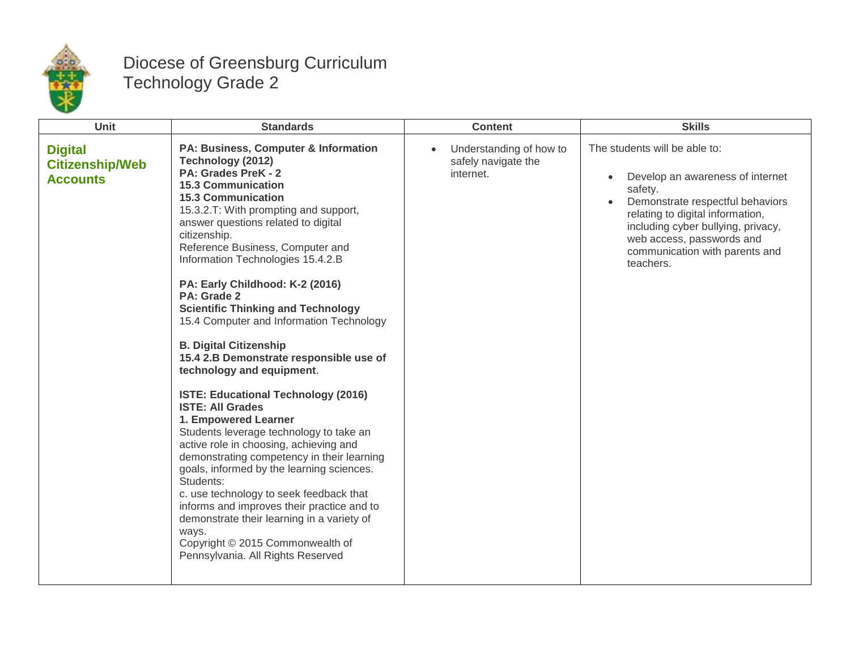

## Diocese of Greensburg Curriculum Technology Grade 2

| Unit                                                        | <b>Standards</b>                                                                                                                                                                                                                                                                                                                                                                                                                                                                                                                                                                                                                                                                                                                                                                                                                                                                                                                                                                                                                                                                               | <b>Content</b>                                              | <b>Skills</b>                                                                                                                                                                                                                                                                       |
|-------------------------------------------------------------|------------------------------------------------------------------------------------------------------------------------------------------------------------------------------------------------------------------------------------------------------------------------------------------------------------------------------------------------------------------------------------------------------------------------------------------------------------------------------------------------------------------------------------------------------------------------------------------------------------------------------------------------------------------------------------------------------------------------------------------------------------------------------------------------------------------------------------------------------------------------------------------------------------------------------------------------------------------------------------------------------------------------------------------------------------------------------------------------|-------------------------------------------------------------|-------------------------------------------------------------------------------------------------------------------------------------------------------------------------------------------------------------------------------------------------------------------------------------|
| <b>Digital</b><br><b>Citizenship/Web</b><br><b>Accounts</b> | PA: Business, Computer & Information<br>Technology (2012)<br>PA: Grades PreK - 2<br><b>15.3 Communication</b><br><b>15.3 Communication</b><br>15.3.2.T: With prompting and support,<br>answer questions related to digital<br>citizenship.<br>Reference Business, Computer and<br>Information Technologies 15.4.2.B<br>PA: Early Childhood: K-2 (2016)<br>PA: Grade 2<br><b>Scientific Thinking and Technology</b><br>15.4 Computer and Information Technology<br><b>B. Digital Citizenship</b><br>15.4 2.B Demonstrate responsible use of<br>technology and equipment.<br><b>ISTE: Educational Technology (2016)</b><br><b>ISTE: All Grades</b><br>1. Empowered Learner<br>Students leverage technology to take an<br>active role in choosing, achieving and<br>demonstrating competency in their learning<br>goals, informed by the learning sciences.<br>Students:<br>c. use technology to seek feedback that<br>informs and improves their practice and to<br>demonstrate their learning in a variety of<br>ways.<br>Copyright © 2015 Commonwealth of<br>Pennsylvania. All Rights Reserved | Understanding of how to<br>safely navigate the<br>internet. | The students will be able to:<br>Develop an awareness of internet<br>$\bullet$<br>safety.<br>Demonstrate respectful behaviors<br>relating to digital information,<br>including cyber bullying, privacy,<br>web access, passwords and<br>communication with parents and<br>teachers. |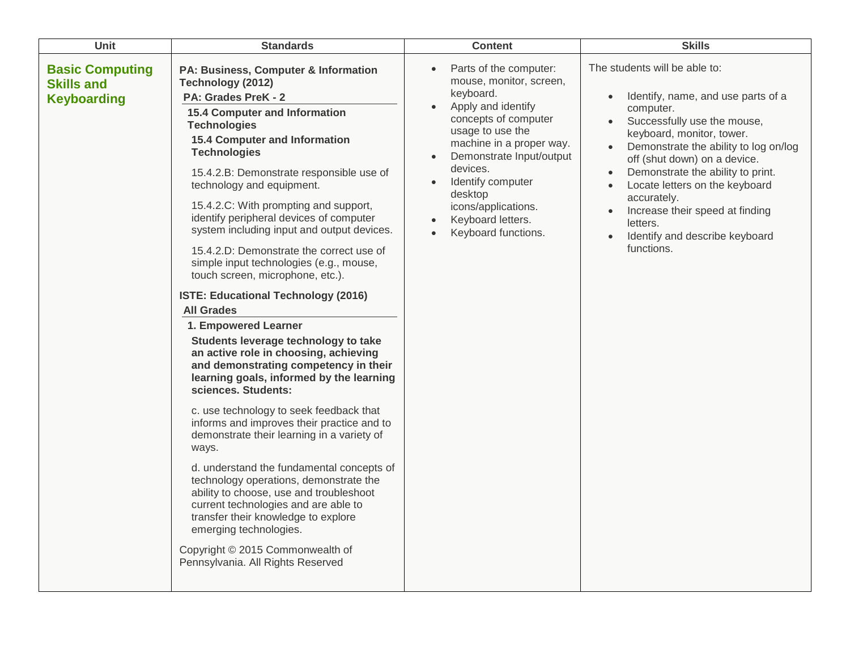| Unit                                                              | <b>Standards</b>                                                                                                                                                                                                                                                                                                                                                                                                                                                                                                                                                                                                                                                                                                                                                                                                                                                                                                                                                                                                                                                                                                                                                                                                                                                                                          | <b>Content</b>                                                                                                                                                                                                                                                                                                                                                           | <b>Skills</b>                                                                                                                                                                                                                                                                                                                                                                                                                                                                            |
|-------------------------------------------------------------------|-----------------------------------------------------------------------------------------------------------------------------------------------------------------------------------------------------------------------------------------------------------------------------------------------------------------------------------------------------------------------------------------------------------------------------------------------------------------------------------------------------------------------------------------------------------------------------------------------------------------------------------------------------------------------------------------------------------------------------------------------------------------------------------------------------------------------------------------------------------------------------------------------------------------------------------------------------------------------------------------------------------------------------------------------------------------------------------------------------------------------------------------------------------------------------------------------------------------------------------------------------------------------------------------------------------|--------------------------------------------------------------------------------------------------------------------------------------------------------------------------------------------------------------------------------------------------------------------------------------------------------------------------------------------------------------------------|------------------------------------------------------------------------------------------------------------------------------------------------------------------------------------------------------------------------------------------------------------------------------------------------------------------------------------------------------------------------------------------------------------------------------------------------------------------------------------------|
| <b>Basic Computing</b><br><b>Skills and</b><br><b>Keyboarding</b> | PA: Business, Computer & Information<br>Technology (2012)<br>PA: Grades PreK - 2<br><b>15.4 Computer and Information</b><br><b>Technologies</b><br><b>15.4 Computer and Information</b><br><b>Technologies</b><br>15.4.2.B: Demonstrate responsible use of<br>technology and equipment.<br>15.4.2.C: With prompting and support,<br>identify peripheral devices of computer<br>system including input and output devices.<br>15.4.2.D: Demonstrate the correct use of<br>simple input technologies (e.g., mouse,<br>touch screen, microphone, etc.).<br>ISTE: Educational Technology (2016)<br><b>All Grades</b><br>1. Empowered Learner<br>Students leverage technology to take<br>an active role in choosing, achieving<br>and demonstrating competency in their<br>learning goals, informed by the learning<br>sciences. Students:<br>c. use technology to seek feedback that<br>informs and improves their practice and to<br>demonstrate their learning in a variety of<br>ways.<br>d. understand the fundamental concepts of<br>technology operations, demonstrate the<br>ability to choose, use and troubleshoot<br>current technologies and are able to<br>transfer their knowledge to explore<br>emerging technologies.<br>Copyright © 2015 Commonwealth of<br>Pennsylvania. All Rights Reserved | Parts of the computer:<br>$\bullet$<br>mouse, monitor, screen,<br>keyboard.<br>Apply and identify<br>$\bullet$<br>concepts of computer<br>usage to use the<br>machine in a proper way.<br>Demonstrate Input/output<br>$\bullet$<br>devices.<br>Identify computer<br>$\bullet$<br>desktop<br>icons/applications.<br>Keyboard letters.<br>$\bullet$<br>Keyboard functions. | The students will be able to:<br>Identify, name, and use parts of a<br>$\bullet$<br>computer.<br>Successfully use the mouse,<br>keyboard, monitor, tower.<br>Demonstrate the ability to log on/log<br>$\bullet$<br>off (shut down) on a device.<br>Demonstrate the ability to print.<br>$\bullet$<br>Locate letters on the keyboard<br>$\bullet$<br>accurately.<br>Increase their speed at finding<br>$\bullet$<br>letters.<br>Identify and describe keyboard<br>$\bullet$<br>functions. |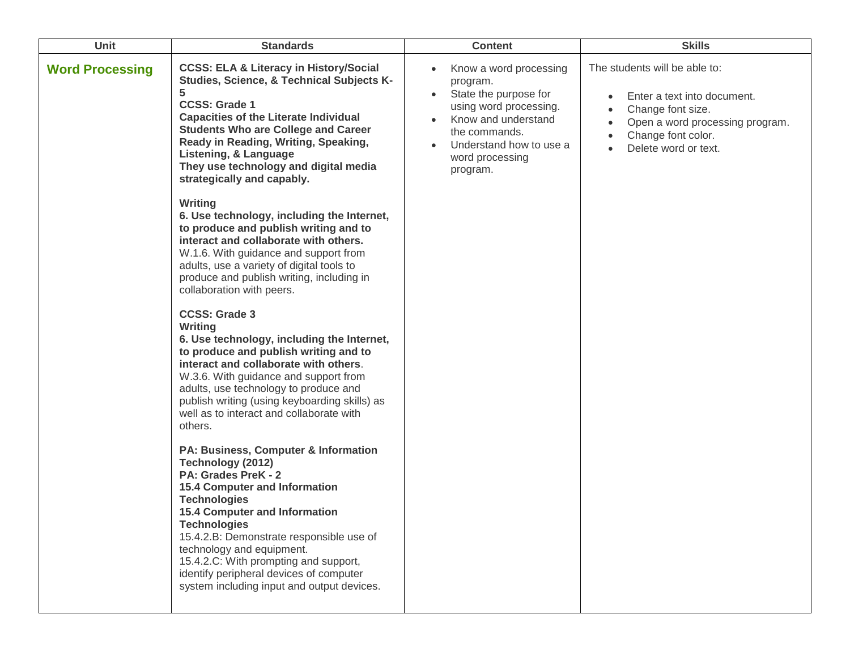| <b>Unit</b>            | <b>Standards</b>                                                                                                                                                                                                                                                                                                                                                                                                                                                                                                                                                                                                                                                                                                                                                                                                                                                                                                                                                                                                                                                                                                                                                                                                                                                                                                                     | <b>Content</b>                                                                                                                                                                          | <b>Skills</b>                                                                                                                                                      |
|------------------------|--------------------------------------------------------------------------------------------------------------------------------------------------------------------------------------------------------------------------------------------------------------------------------------------------------------------------------------------------------------------------------------------------------------------------------------------------------------------------------------------------------------------------------------------------------------------------------------------------------------------------------------------------------------------------------------------------------------------------------------------------------------------------------------------------------------------------------------------------------------------------------------------------------------------------------------------------------------------------------------------------------------------------------------------------------------------------------------------------------------------------------------------------------------------------------------------------------------------------------------------------------------------------------------------------------------------------------------|-----------------------------------------------------------------------------------------------------------------------------------------------------------------------------------------|--------------------------------------------------------------------------------------------------------------------------------------------------------------------|
| <b>Word Processing</b> | <b>CCSS: ELA &amp; Literacy in History/Social</b><br>Studies, Science, & Technical Subjects K-<br>5<br><b>CCSS: Grade 1</b><br><b>Capacities of the Literate Individual</b><br><b>Students Who are College and Career</b><br>Ready in Reading, Writing, Speaking,<br>Listening, & Language<br>They use technology and digital media<br>strategically and capably.<br>Writing<br>6. Use technology, including the Internet,<br>to produce and publish writing and to<br>interact and collaborate with others.<br>W.1.6. With guidance and support from<br>adults, use a variety of digital tools to<br>produce and publish writing, including in<br>collaboration with peers.<br><b>CCSS: Grade 3</b><br>Writing<br>6. Use technology, including the Internet,<br>to produce and publish writing and to<br>interact and collaborate with others.<br>W.3.6. With guidance and support from<br>adults, use technology to produce and<br>publish writing (using keyboarding skills) as<br>well as to interact and collaborate with<br>others.<br>PA: Business, Computer & Information<br>Technology (2012)<br>PA: Grades PreK - 2<br><b>15.4 Computer and Information</b><br><b>Technologies</b><br><b>15.4 Computer and Information</b><br><b>Technologies</b><br>15.4.2.B: Demonstrate responsible use of<br>technology and equipment. | Know a word processing<br>program.<br>State the purpose for<br>using word processing.<br>Know and understand<br>the commands.<br>Understand how to use a<br>word processing<br>program. | The students will be able to:<br>Enter a text into document.<br>Change font size.<br>Open a word processing program.<br>Change font color.<br>Delete word or text. |
|                        | 15.4.2.C: With prompting and support,<br>identify peripheral devices of computer<br>system including input and output devices.                                                                                                                                                                                                                                                                                                                                                                                                                                                                                                                                                                                                                                                                                                                                                                                                                                                                                                                                                                                                                                                                                                                                                                                                       |                                                                                                                                                                                         |                                                                                                                                                                    |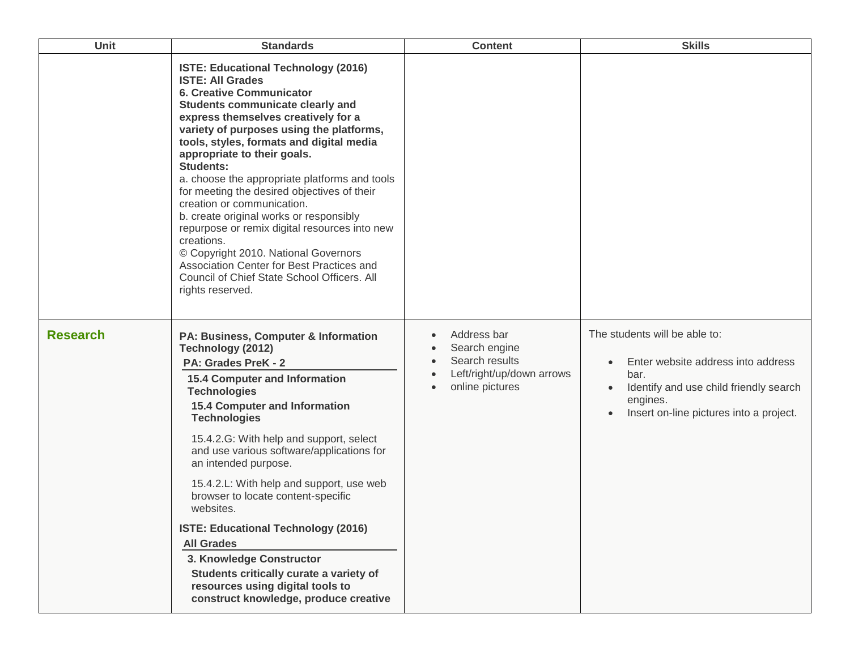| Unit            | <b>Standards</b>                                                                                                                                                                                                                                                                                                                                                                                                                                                                                                                                                                                                                                                                                                        | <b>Content</b>                                                                                                           | <b>Skills</b>                                                                                                                                                                                                       |
|-----------------|-------------------------------------------------------------------------------------------------------------------------------------------------------------------------------------------------------------------------------------------------------------------------------------------------------------------------------------------------------------------------------------------------------------------------------------------------------------------------------------------------------------------------------------------------------------------------------------------------------------------------------------------------------------------------------------------------------------------------|--------------------------------------------------------------------------------------------------------------------------|---------------------------------------------------------------------------------------------------------------------------------------------------------------------------------------------------------------------|
|                 | ISTE: Educational Technology (2016)<br><b>ISTE: All Grades</b><br><b>6. Creative Communicator</b><br>Students communicate clearly and<br>express themselves creatively for a<br>variety of purposes using the platforms,<br>tools, styles, formats and digital media<br>appropriate to their goals.<br><b>Students:</b><br>a. choose the appropriate platforms and tools<br>for meeting the desired objectives of their<br>creation or communication.<br>b. create original works or responsibly<br>repurpose or remix digital resources into new<br>creations.<br>© Copyright 2010. National Governors<br>Association Center for Best Practices and<br>Council of Chief State School Officers. All<br>rights reserved. |                                                                                                                          |                                                                                                                                                                                                                     |
| <b>Research</b> | PA: Business, Computer & Information<br>Technology (2012)<br>PA: Grades PreK - 2<br><b>15.4 Computer and Information</b><br><b>Technologies</b><br><b>15.4 Computer and Information</b><br><b>Technologies</b><br>15.4.2.G: With help and support, select<br>and use various software/applications for<br>an intended purpose.<br>15.4.2.L: With help and support, use web<br>browser to locate content-specific<br>websites.<br>ISTE: Educational Technology (2016)<br><b>All Grades</b><br>3. Knowledge Constructor<br>Students critically curate a variety of<br>resources using digital tools to<br>construct knowledge, produce creative                                                                           | Address bar<br>Search engine<br>Search results<br>Left/right/up/down arrows<br>$\bullet$<br>online pictures<br>$\bullet$ | The students will be able to:<br>Enter website address into address<br>$\bullet$<br>bar.<br>Identify and use child friendly search<br>$\bullet$<br>engines.<br>Insert on-line pictures into a project.<br>$\bullet$ |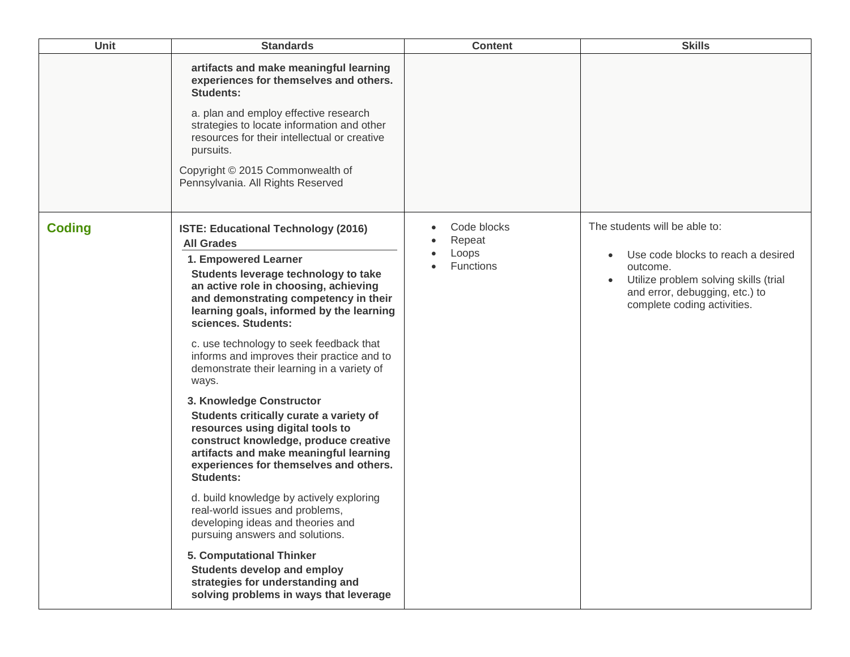| <b>Unit</b>   | <b>Standards</b>                                                                                                                                                                                                                                                                                                                                                                                                                                                                                                                                                                                                                                                                                                                                                                                                                                                                                                                                                                                 | <b>Content</b>                              | <b>Skills</b>                                                                                                                                                                                          |
|---------------|--------------------------------------------------------------------------------------------------------------------------------------------------------------------------------------------------------------------------------------------------------------------------------------------------------------------------------------------------------------------------------------------------------------------------------------------------------------------------------------------------------------------------------------------------------------------------------------------------------------------------------------------------------------------------------------------------------------------------------------------------------------------------------------------------------------------------------------------------------------------------------------------------------------------------------------------------------------------------------------------------|---------------------------------------------|--------------------------------------------------------------------------------------------------------------------------------------------------------------------------------------------------------|
|               | artifacts and make meaningful learning<br>experiences for themselves and others.<br><b>Students:</b><br>a. plan and employ effective research<br>strategies to locate information and other<br>resources for their intellectual or creative<br>pursuits.<br>Copyright © 2015 Commonwealth of<br>Pennsylvania. All Rights Reserved                                                                                                                                                                                                                                                                                                                                                                                                                                                                                                                                                                                                                                                                |                                             |                                                                                                                                                                                                        |
| <b>Coding</b> | ISTE: Educational Technology (2016)<br><b>All Grades</b><br>1. Empowered Learner<br>Students leverage technology to take<br>an active role in choosing, achieving<br>and demonstrating competency in their<br>learning goals, informed by the learning<br>sciences. Students:<br>c. use technology to seek feedback that<br>informs and improves their practice and to<br>demonstrate their learning in a variety of<br>ways.<br>3. Knowledge Constructor<br>Students critically curate a variety of<br>resources using digital tools to<br>construct knowledge, produce creative<br>artifacts and make meaningful learning<br>experiences for themselves and others.<br><b>Students:</b><br>d. build knowledge by actively exploring<br>real-world issues and problems,<br>developing ideas and theories and<br>pursuing answers and solutions.<br>5. Computational Thinker<br><b>Students develop and employ</b><br>strategies for understanding and<br>solving problems in ways that leverage | Code blocks<br>Repeat<br>Loops<br>Functions | The students will be able to:<br>Use code blocks to reach a desired<br>$\bullet$<br>outcome.<br>Utilize problem solving skills (trial<br>and error, debugging, etc.) to<br>complete coding activities. |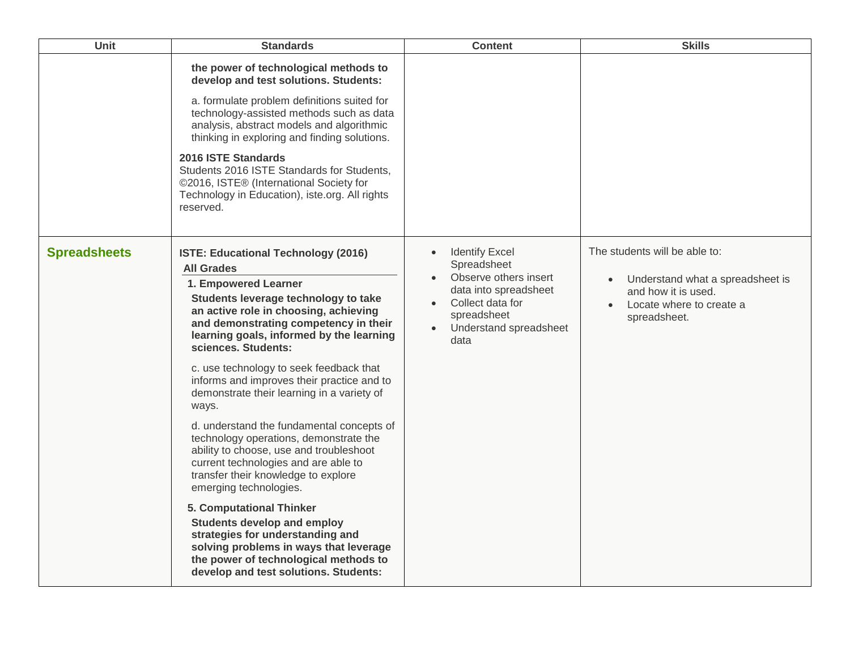| Unit                | <b>Standards</b>                                                                                                                                                                                                                                                                                                                                                                                                                                                                                                                                                                                                                                                                                                                                                                                                                                                                                           | <b>Content</b>                                                                                                                                                                                     | <b>Skills</b>                                                                                                                                                  |
|---------------------|------------------------------------------------------------------------------------------------------------------------------------------------------------------------------------------------------------------------------------------------------------------------------------------------------------------------------------------------------------------------------------------------------------------------------------------------------------------------------------------------------------------------------------------------------------------------------------------------------------------------------------------------------------------------------------------------------------------------------------------------------------------------------------------------------------------------------------------------------------------------------------------------------------|----------------------------------------------------------------------------------------------------------------------------------------------------------------------------------------------------|----------------------------------------------------------------------------------------------------------------------------------------------------------------|
|                     | the power of technological methods to<br>develop and test solutions. Students:<br>a. formulate problem definitions suited for<br>technology-assisted methods such as data<br>analysis, abstract models and algorithmic<br>thinking in exploring and finding solutions.<br>2016 ISTE Standards<br>Students 2016 ISTE Standards for Students,<br>©2016, ISTE® (International Society for<br>Technology in Education), iste.org. All rights<br>reserved.                                                                                                                                                                                                                                                                                                                                                                                                                                                      |                                                                                                                                                                                                    |                                                                                                                                                                |
| <b>Spreadsheets</b> | ISTE: Educational Technology (2016)<br><b>All Grades</b><br>1. Empowered Learner<br>Students leverage technology to take<br>an active role in choosing, achieving<br>and demonstrating competency in their<br>learning goals, informed by the learning<br>sciences. Students:<br>c. use technology to seek feedback that<br>informs and improves their practice and to<br>demonstrate their learning in a variety of<br>ways.<br>d. understand the fundamental concepts of<br>technology operations, demonstrate the<br>ability to choose, use and troubleshoot<br>current technologies and are able to<br>transfer their knowledge to explore<br>emerging technologies.<br>5. Computational Thinker<br><b>Students develop and employ</b><br>strategies for understanding and<br>solving problems in ways that leverage<br>the power of technological methods to<br>develop and test solutions. Students: | <b>Identify Excel</b><br>$\bullet$<br>Spreadsheet<br>Observe others insert<br>$\bullet$<br>data into spreadsheet<br>Collect data for<br>spreadsheet<br>Understand spreadsheet<br>$\bullet$<br>data | The students will be able to:<br>Understand what a spreadsheet is<br>$\bullet$<br>and how it is used.<br>Locate where to create a<br>$\bullet$<br>spreadsheet. |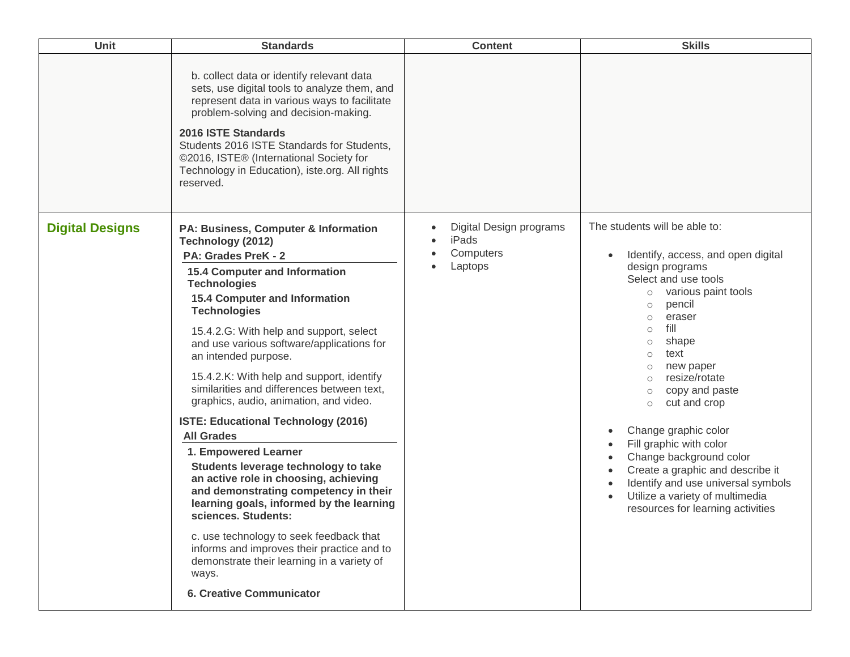| <b>Unit</b>            | <b>Standards</b>                                                                                                                                                                                                                                                                                                                                                                                                                                                                                                                                                                                                                                                                                                                                                                                                                                                                                                                        | <b>Content</b>                                           | <b>Skills</b>                                                                                                                                                                                                                                                                                                                                                                                                                                                                                                                                                                                                                                        |
|------------------------|-----------------------------------------------------------------------------------------------------------------------------------------------------------------------------------------------------------------------------------------------------------------------------------------------------------------------------------------------------------------------------------------------------------------------------------------------------------------------------------------------------------------------------------------------------------------------------------------------------------------------------------------------------------------------------------------------------------------------------------------------------------------------------------------------------------------------------------------------------------------------------------------------------------------------------------------|----------------------------------------------------------|------------------------------------------------------------------------------------------------------------------------------------------------------------------------------------------------------------------------------------------------------------------------------------------------------------------------------------------------------------------------------------------------------------------------------------------------------------------------------------------------------------------------------------------------------------------------------------------------------------------------------------------------------|
|                        | b. collect data or identify relevant data<br>sets, use digital tools to analyze them, and<br>represent data in various ways to facilitate<br>problem-solving and decision-making.<br>2016 ISTE Standards<br>Students 2016 ISTE Standards for Students,<br>©2016, ISTE® (International Society for<br>Technology in Education), iste.org. All rights<br>reserved.                                                                                                                                                                                                                                                                                                                                                                                                                                                                                                                                                                        |                                                          |                                                                                                                                                                                                                                                                                                                                                                                                                                                                                                                                                                                                                                                      |
| <b>Digital Designs</b> | PA: Business, Computer & Information<br>Technology (2012)<br>PA: Grades PreK - 2<br><b>15.4 Computer and Information</b><br><b>Technologies</b><br><b>15.4 Computer and Information</b><br><b>Technologies</b><br>15.4.2.G: With help and support, select<br>and use various software/applications for<br>an intended purpose.<br>15.4.2.K: With help and support, identify<br>similarities and differences between text,<br>graphics, audio, animation, and video.<br>ISTE: Educational Technology (2016)<br><b>All Grades</b><br>1. Empowered Learner<br>Students leverage technology to take<br>an active role in choosing, achieving<br>and demonstrating competency in their<br>learning goals, informed by the learning<br>sciences. Students:<br>c. use technology to seek feedback that<br>informs and improves their practice and to<br>demonstrate their learning in a variety of<br>ways.<br><b>6. Creative Communicator</b> | Digital Design programs<br>iPads<br>Computers<br>Laptops | The students will be able to:<br>Identify, access, and open digital<br>$\bullet$<br>design programs<br>Select and use tools<br>various paint tools<br>$\circ$<br>pencil<br>$\circ$<br>eraser<br>$\circ$<br>fill<br>$\circ$<br>shape<br>$\circ$<br>text<br>$\circ$<br>new paper<br>$\circ$<br>resize/rotate<br>$\circ$<br>copy and paste<br>$\circ$<br>cut and crop<br>$\circ$<br>Change graphic color<br>$\bullet$<br>Fill graphic with color<br>Change background color<br>Create a graphic and describe it<br>$\bullet$<br>Identify and use universal symbols<br>$\bullet$<br>Utilize a variety of multimedia<br>resources for learning activities |